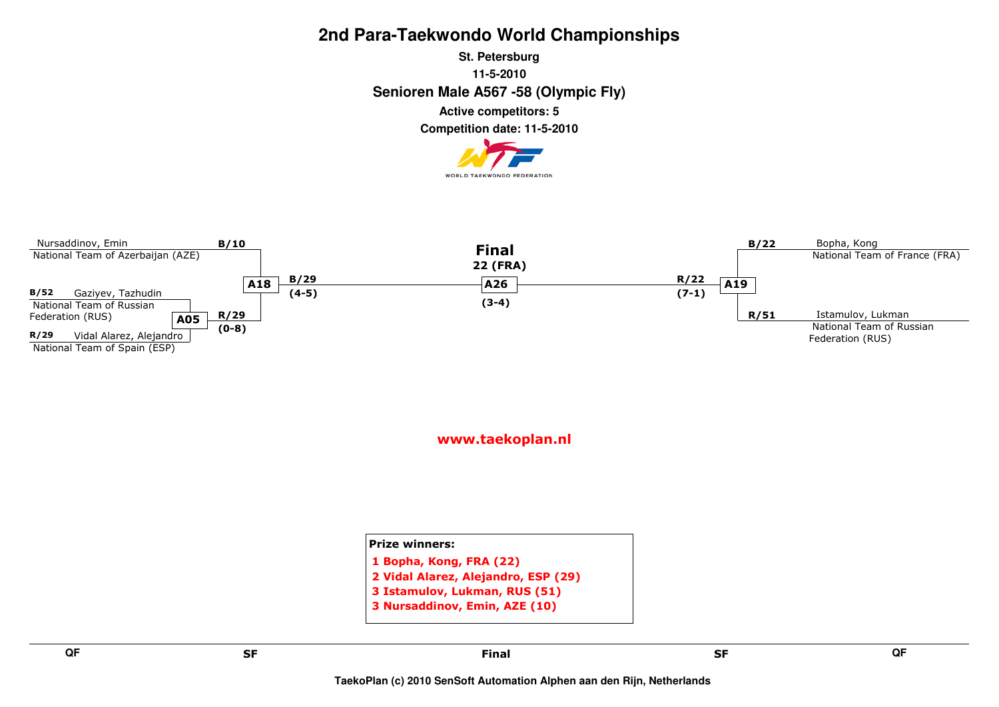**Senioren Male A567 -58 (Olympic Fly) St. Petersburg11-5-2010Competition date: 11-5-2010 Active competitors: 5**





www.taekoplan.nl

Prize winners:1 Bopha, Kong, FRA (22) 2 Vidal Alarez, Alejandro, ESP (29)3 Istamulov, Lukman, RUS (51)3 Nursaddinov, Emin, AZE (10)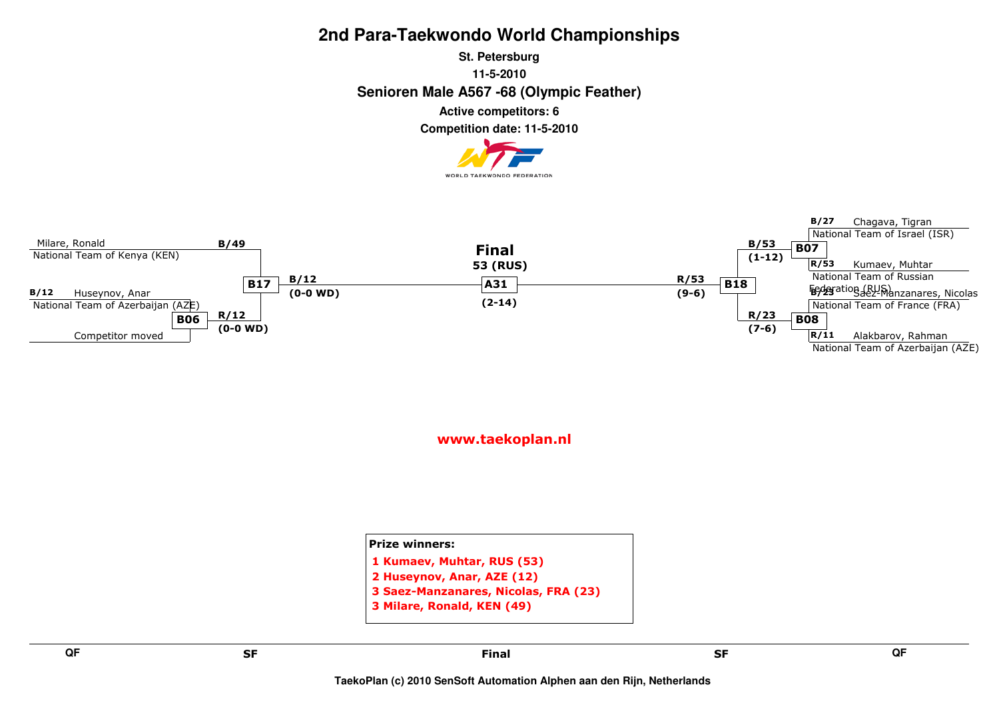**Senioren Male A567 -68 (Olympic Feather) St. Petersburg11-5-2010Active competitors: 6**

**Competition date: 11-5-2010**





| <b>Prize winners:</b>                |
|--------------------------------------|
| 1 Kumaev, Muhtar, RUS (53)           |
| 2 Huseynov, Anar, AZE (12)           |
| 3 Saez-Manzanares, Nicolas, FRA (23) |
| 3 Milare, Ronald, KEN (49)           |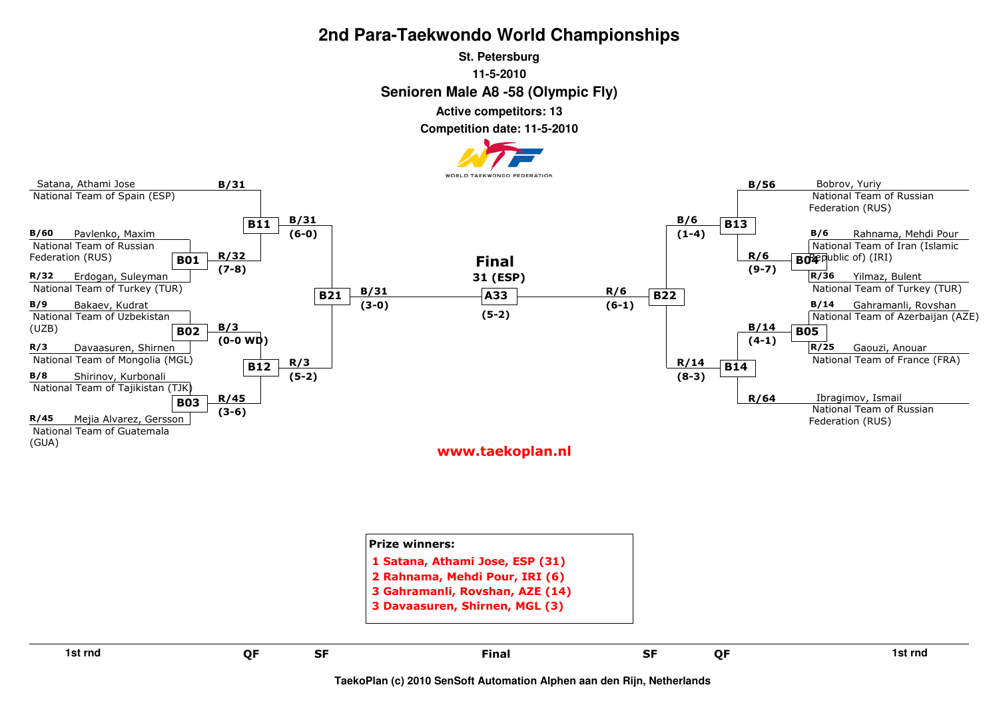#### **Senioren Male A8 -58 (Olympic Fly) St. Petersburg11-5-2010**

**Active competitors: 13**

**Competition date: 11-5-2010**





|    |           | 3 Davaasuren, Shirnen, MGL (3) |           |    |         |
|----|-----------|--------------------------------|-----------|----|---------|
| QF | <b>SF</b> | <b>Final</b>                   | <b>SF</b> | QF | 1st rnd |
|    |           |                                |           |    |         |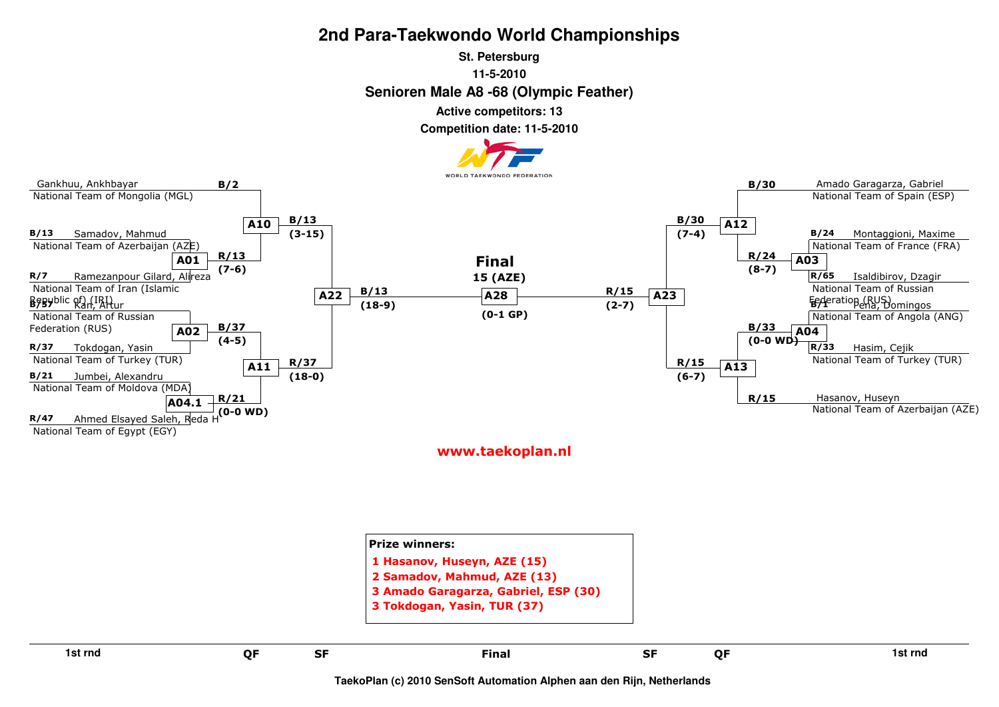#### **Senioren Male A8 -68 (Olympic Feather) St. Petersburg11-5-2010**

**Active competitors: 13**

**Competition date: 11-5-2010**



| 1st rnd | QF | <b>SF</b> | <b>Final</b>                                                                                                                      | <b>SF</b> | QF | 1st rnd |
|---------|----|-----------|-----------------------------------------------------------------------------------------------------------------------------------|-----------|----|---------|
|         |    |           | 1 Hasanov, Huseyn, AZE (15)<br>2 Samadov, Mahmud, AZE (13)<br>3 Amado Garagarza, Gabriel, ESP (30)<br>3 Tokdogan, Yasin, TUR (37) |           |    |         |
|         |    |           | <b>Prize winners:</b>                                                                                                             |           |    |         |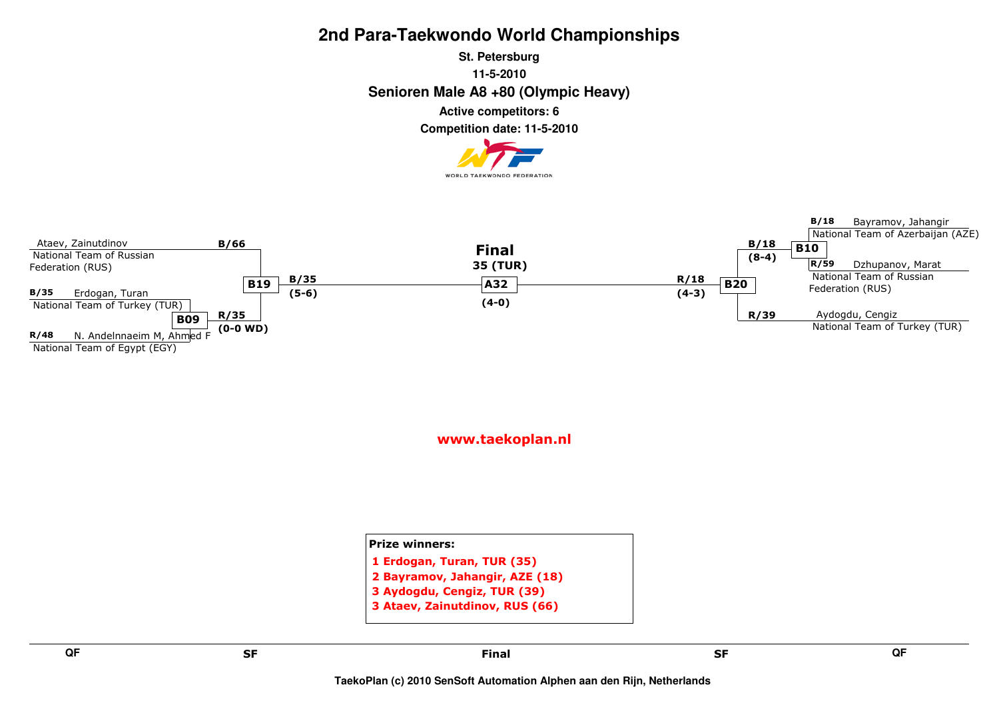**Senioren Male A8 +80 (Olympic Heavy) St. Petersburg11-5-2010Active competitors: 6**

**Competition date: 11-5-2010**





www.taekoplan.nl

Prize winners:1 Erdogan, Turan, TUR (35) 2 Bayramov, Jahangir, AZE (18)3 Aydogdu, Cengiz, TUR (39)3 Ataev, Zainutdinov, RUS (66)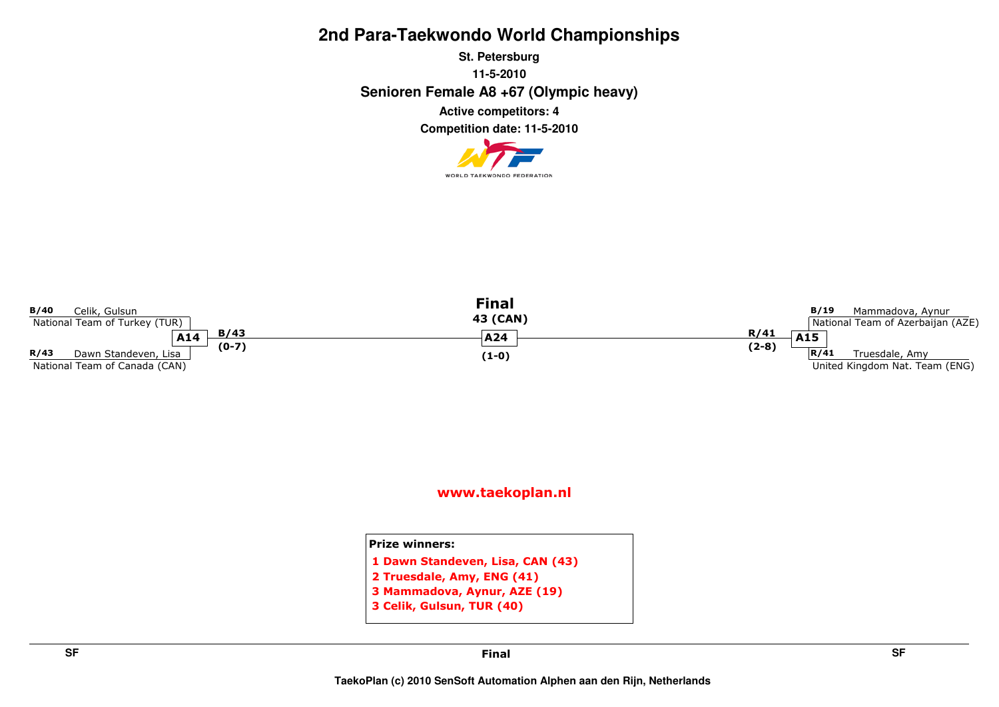**Senioren Female A8 +67 (Olympic heavy) St. Petersburg11-5-2010Competition date: 11-5-2010 Active competitors: 4**





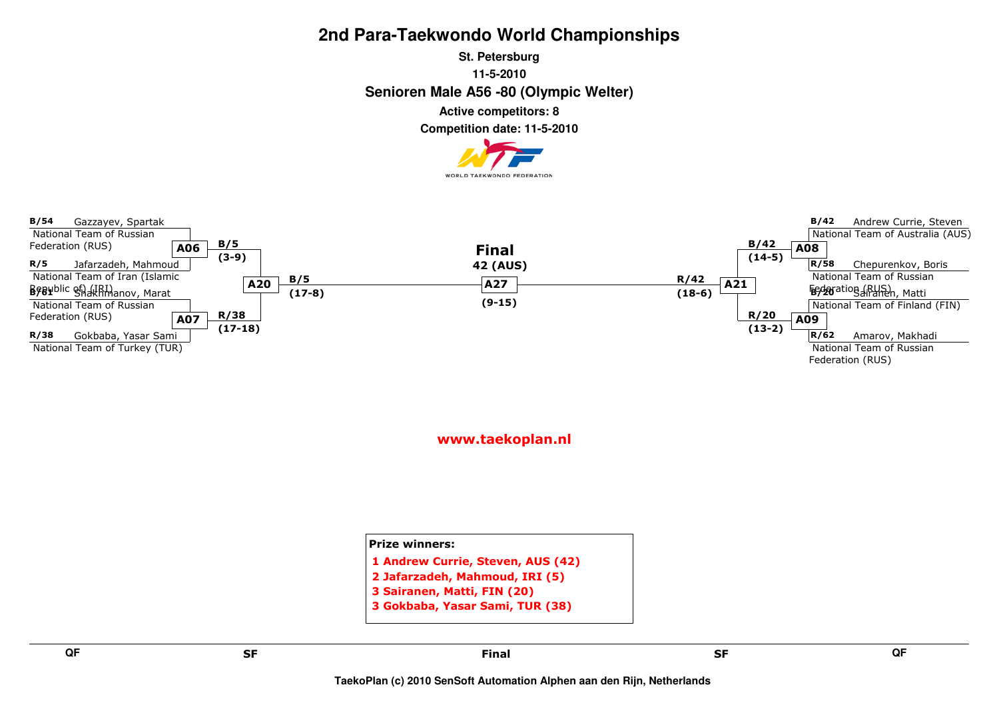**Senioren Male A56 -80 (Olympic Welter) St. Petersburg11-5-2010Active competitors: 8**

**Competition date: 11-5-2010**





www.taekoplan.nl

Prize winners:1 Andrew Currie, Steven, AUS (42)2 Jafarzadeh, Mahmoud, IRI (5)3 Sairanen, Matti, FIN (20)

3 Gokbaba, Yasar Sami, TUR (38)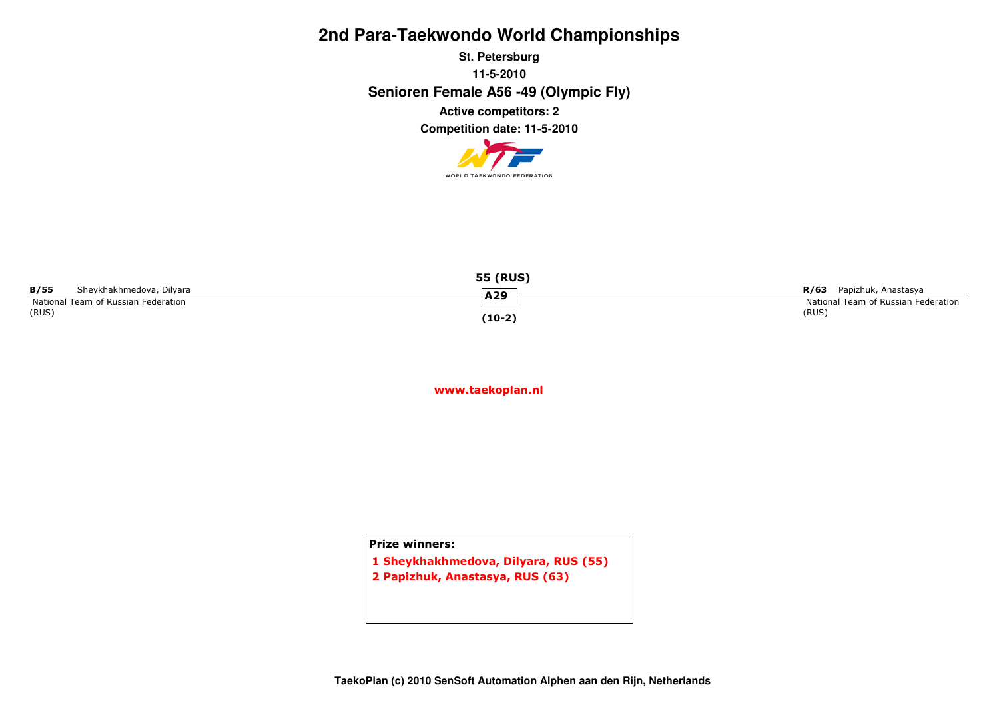**Senioren Female A56 -49 (Olympic Fly) St. Petersburg11-5-2010Competition date: 11-5-2010 Active competitors: 2**



| <b>55 (RUS)</b>                     |          |                                     |  |  |  |  |
|-------------------------------------|----------|-------------------------------------|--|--|--|--|
| B/55<br>Sheykhakhmedova, Dilyara    | A29      | Papizhuk, Anastasya<br>R/63         |  |  |  |  |
| National Team of Russian Federation |          | National Team of Russian Federation |  |  |  |  |
| (RUS)                               | $(10-2)$ | (RUS)                               |  |  |  |  |

www.taekoplan.nl

Prize winners:

1 Sheykhakhmedova, Dilyara, RUS (55)2 Papizhuk, Anastasya, RUS (63)

**TaekoPlan (c) 2010 SenSoft Automation Alphen aan den Rijn, Netherlands**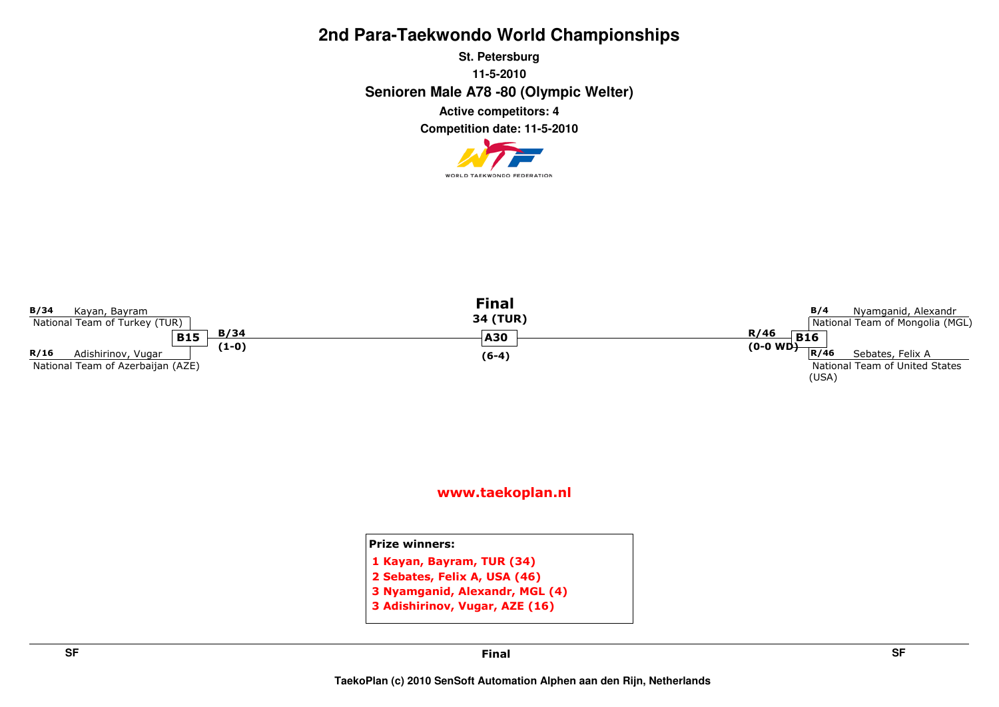**Senioren Male A78 -80 (Olympic Welter) St. Petersburg11-5-2010Competition date: 11-5-2010 Active competitors: 4**